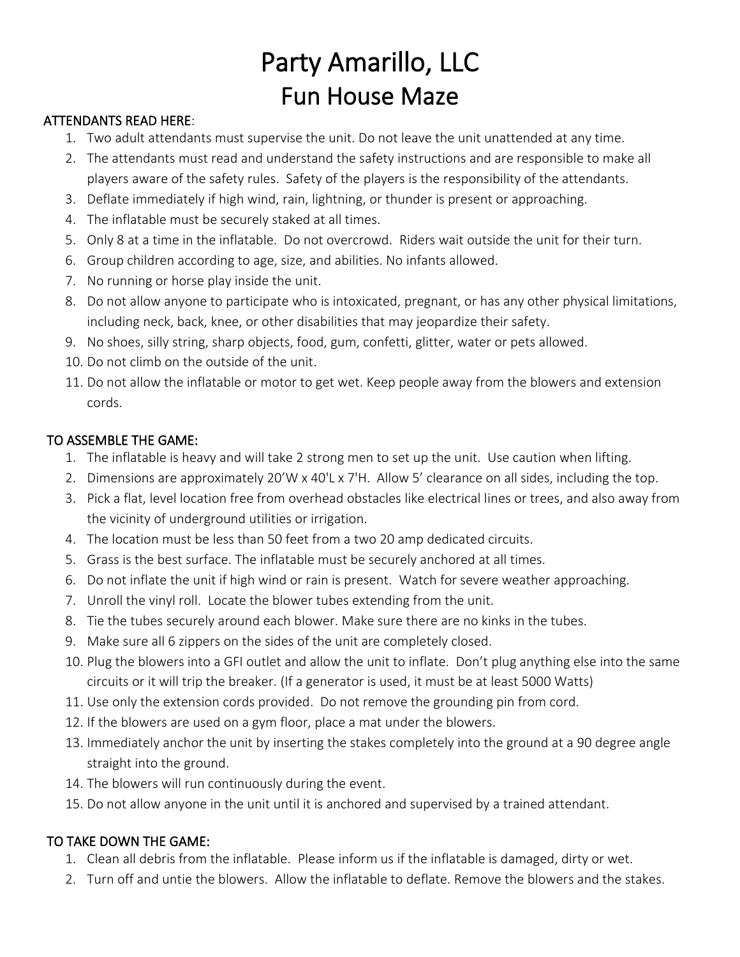## Party Amarillo, LLC Fun House Maze

## ATTENDANTS READ HERE:

- 1. Two adult attendants must supervise the unit. Do not leave the unit unattended at any time.
- 2. The attendants must read and understand the safety instructions and are responsible to make all players aware of the safety rules. Safety of the players is the responsibility of the attendants.
- 3. Deflate immediately if high wind, rain, lightning, or thunder is present or approaching.
- 4. The inflatable must be securely staked at all times.
- 5. Only 8 at a time in the inflatable. Do not overcrowd. Riders wait outside the unit for their turn.
- 6. Group children according to age, size, and abilities. No infants allowed.
- 7. No running or horse play inside the unit.
- 8. Do not allow anyone to participate who is intoxicated, pregnant, or has any other physical limitations, including neck, back, knee, or other disabilities that may jeopardize their safety.
- 9. No shoes, silly string, sharp objects, food, gum, confetti, glitter, water or pets allowed.
- 10. Do not climb on the outside of the unit.
- 11. Do not allow the inflatable or motor to get wet. Keep people away from the blowers and extension cords.

## TO ASSEMBLE THE GAME:

- 1. The inflatable is heavy and will take 2 strong men to set up the unit. Use caution when lifting.
- 2. Dimensions are approximately 20'W x 40'L x 7'H. Allow 5' clearance on all sides, including the top.
- 3. Pick a flat, level location free from overhead obstacles like electrical lines or trees, and also away from the vicinity of underground utilities or irrigation.
- 4. The location must be less than 50 feet from a two 20 amp dedicated circuits.
- 5. Grass is the best surface. The inflatable must be securely anchored at all times.
- 6. Do not inflate the unit if high wind or rain is present. Watch for severe weather approaching.
- 7. Unroll the vinyl roll. Locate the blower tubes extending from the unit.
- 8. Tie the tubes securely around each blower. Make sure there are no kinks in the tubes.
- 9. Make sure all 6 zippers on the sides of the unit are completely closed.
- 10. Plug the blowers into a GFI outlet and allow the unit to inflate. Don't plug anything else into the same circuits or it will trip the breaker. (If a generator is used, it must be at least 5000 Watts)
- 11. Use only the extension cords provided. Do not remove the grounding pin from cord.
- 12. If the blowers are used on a gym floor, place a mat under the blowers.
- 13. Immediately anchor the unit by inserting the stakes completely into the ground at a 90 degree angle straight into the ground.
- 14. The blowers will run continuously during the event.
- 15. Do not allow anyone in the unit until it is anchored and supervised by a trained attendant.

## TO TAKE DOWN THE GAME:

- 1. Clean all debris from the inflatable. Please inform us if the inflatable is damaged, dirty or wet.
- 2. Turn off and untie the blowers. Allow the inflatable to deflate. Remove the blowers and the stakes.